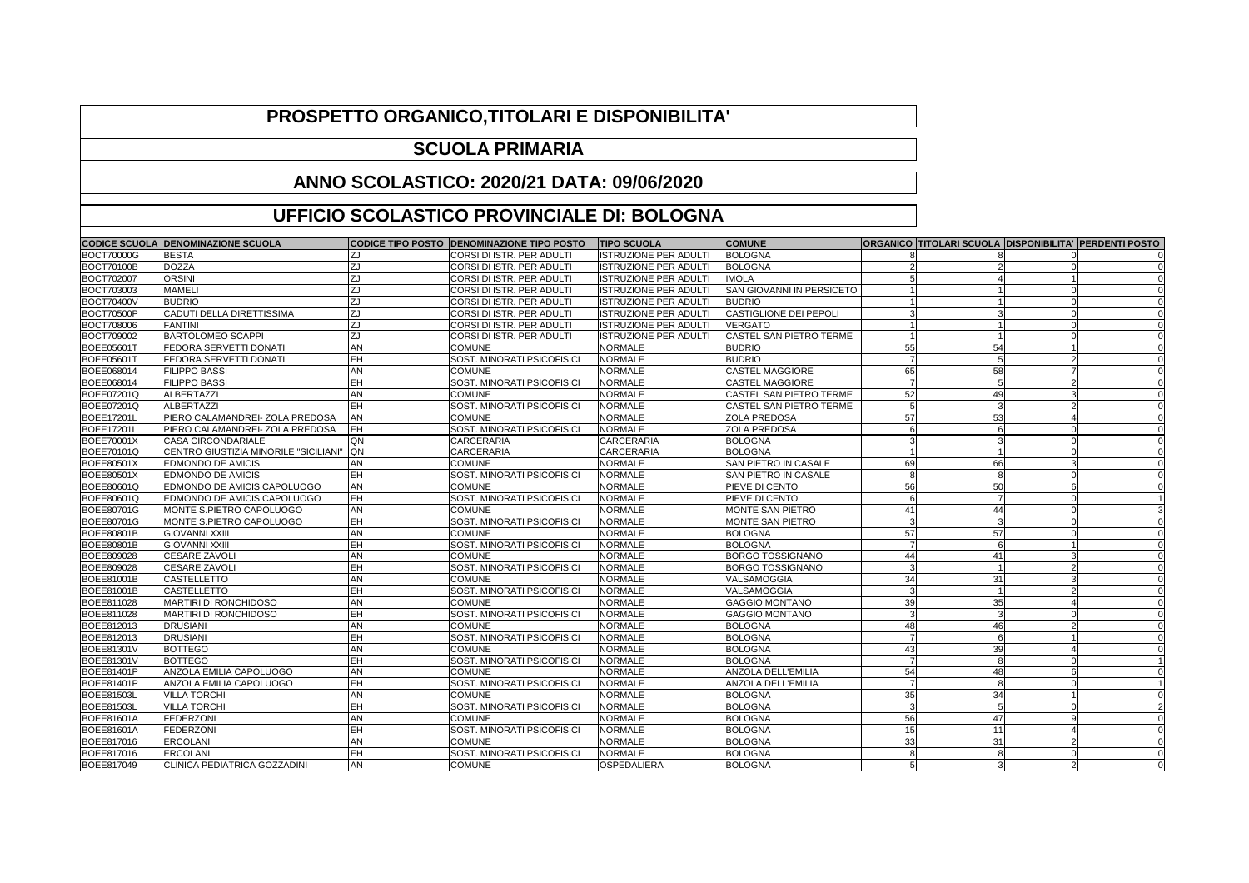|                   | <b>CODICE SCUOLA DENOMINAZIONE SCUOLA</b> | <b>CODICE TIPO POSTO</b> | <b>DENOMINAZIONE TIPO POSTO</b>   | <b>TIPO SCUOLA</b>           | <b>COMUNE</b>                    | ORGANICO   TITOLARI SCUOLA   DISPONIBILITA'   PERDENTI POSTO |    |               |  |
|-------------------|-------------------------------------------|--------------------------|-----------------------------------|------------------------------|----------------------------------|--------------------------------------------------------------|----|---------------|--|
| <b>BOCT70000G</b> | <b>BESTA</b>                              |                          | CORSI DI ISTR. PER ADULTI         | <b>ISTRUZIONE PER ADULTI</b> | <b>BOLOGNA</b>                   |                                                              |    |               |  |
| <b>BOCT70100B</b> | <b>DOZZA</b>                              | ZJ                       | CORSI DI ISTR. PER ADULTI         | <b>ISTRUZIONE PER ADULTI</b> | <b>BOLOGNA</b>                   |                                                              |    |               |  |
| <b>BOCT702007</b> | <b>ORSINI</b>                             | ZJ                       | CORSI DI ISTR. PER ADULTI         | ISTRUZIONE PER ADULT         | <b>IMOLA</b>                     |                                                              |    |               |  |
| <b>BOCT703003</b> | <b>MAMELI</b>                             | ZJ                       | CORSI DI ISTR. PER ADULTI         | <b>ISTRUZIONE PER ADULTI</b> | <b>SAN GIOVANNI IN PERSICETO</b> |                                                              |    |               |  |
| <b>BOCT70400V</b> | <b>BUDRIO</b>                             | ZJ                       | CORSI DI ISTR. PER ADULTI         | <b>ISTRUZIONE PER ADULTI</b> | <b>BUDRIO</b>                    |                                                              |    |               |  |
| <b>BOCT70500P</b> | <b>CADUTI DELLA DIRETTISSIMA</b>          | ZJ                       | CORSI DI ISTR. PER ADULTI         | <b>ISTRUZIONE PER ADULT</b>  | <b>CASTIGLIONE DEI PEPOLI</b>    |                                                              |    |               |  |
| <b>BOCT708006</b> | FANTINI                                   | ZJ                       | CORSI DI ISTR. PER ADULTI         | <b>ISTRUZIONE PER ADULTI</b> | <b>VERGATO</b>                   |                                                              |    |               |  |
| <b>BOCT709002</b> | <b>BARTOLOMEO SCAPPI</b>                  | ZJ                       | CORSI DI ISTR. PER ADULTI         | <b>ISTRUZIONE PER ADULTI</b> | <b>CASTEL SAN PIETRO TERME</b>   |                                                              |    |               |  |
| <b>BOEE05601T</b> | <b>FEDORA SERVETTI DONATI</b>             | AN                       | <b>COMUNE</b>                     | <b>NORMALE</b>               | <b>BUDRIO</b>                    | 55                                                           | 54 |               |  |
| <b>BOEE05601T</b> | <b>FEDORA SERVETTI DONATI</b>             | EH                       | <b>SOST. MINORATI PSICOFISICI</b> | <b>NORMALE</b>               | <b>BUDRIO</b>                    |                                                              |    |               |  |
| <b>BOEE068014</b> | <b>FILIPPO BASSI</b>                      | AN                       | <b>COMUNE</b>                     | <b>NORMALE</b>               | <b>CASTEL MAGGIORE</b>           | 65                                                           | 58 |               |  |
| <b>BOEE068014</b> | <b>FILIPPO BASSI</b>                      | EH                       | <b>SOST. MINORATI PSICOFISICI</b> | <b>NORMALE</b>               | <b>CASTEL MAGGIORE</b>           |                                                              |    |               |  |
| <b>BOEE07201Q</b> | ALBERTAZZI                                | AN                       | <b>COMUNE</b>                     | <b>NORMALE</b>               | <b>CASTEL SAN PIETRO TERME</b>   | 52                                                           | 49 |               |  |
| <b>BOEE07201Q</b> | ALBERTAZZI                                | EH                       | SOST. MINORATI PSICOFISIC         | <b>NORMALE</b>               | <b>CASTEL SAN PIETRO TERME</b>   |                                                              |    |               |  |
| <b>BOEE17201L</b> | PIERO CALAMANDREI-ZOLA PREDOSA            | AN                       | <b>COMUNE</b>                     | <b>NORMALE</b>               | <b>ZOLA PREDOSA</b>              | 57                                                           | 53 |               |  |
| <b>BOEE17201L</b> | <b>PIERO CALAMANDREI- ZOLA PREDOSA</b>    | EH                       | <b>SOST. MINORATI PSICOFISICI</b> | <b>NORMALE</b>               | <b>ZOLA PREDOSA</b>              |                                                              |    |               |  |
| <b>BOEE70001X</b> | <b>CASA CIRCONDARIALE</b>                 | QN                       | CARCERARIA                        | <b>CARCERARIA</b>            | <b>BOLOGNA</b>                   |                                                              |    |               |  |
| <b>BOEE70101Q</b> | CENTRO GIUSTIZIA MINORILE "SICILIANI"     | <b>QN</b>                | CARCERARIA                        | CARCERARIA                   | <b>BOLOGNA</b>                   |                                                              |    |               |  |
| <b>BOEE80501X</b> | <b>EDMONDO DE AMICIS</b>                  | AN                       | <b>COMUNE</b>                     | <b>NORMALE</b>               | <b>SAN PIETRO IN CASALE</b>      |                                                              | 66 |               |  |
| <b>BOEE80501X</b> | <b>EDMONDO DE AMICIS</b>                  | EΗ                       | <b>SOST. MINORATI PSICOFISICI</b> | <b>NORMALE</b>               | <b>SAN PIETRO IN CASALE</b>      |                                                              |    |               |  |
| <b>BOEE80601Q</b> | <b>EDMONDO DE AMICIS CAPOLUOGO</b>        | AN                       | <b>COMUNE</b>                     | <b>NORMALE</b>               | <b>PIEVE DI CENTO</b>            | 56                                                           | 50 |               |  |
| <b>BOEE80601Q</b> | <b>EDMONDO DE AMICIS CAPOLUOGO</b>        | EH                       | <b>SOST. MINORATI PSICOFISICI</b> | <b>NORMALE</b>               | <b>PIEVE DI CENTO</b>            |                                                              |    |               |  |
| <b>BOEE80701G</b> | MONTE S.PIETRO CAPOLUOGO                  | AN                       | <b>COMUNE</b>                     | <b>NORMALE</b>               | <b>MONTE SAN PIETRO</b>          | 4.                                                           |    |               |  |
| <b>BOEE80701G</b> | MONTE S.PIETRO CAPOLUOGO                  | EH                       | SOST. MINORATI PSICOFISICI        | <b>NORMALE</b>               | <b>MONTE SAN PIETRO</b>          |                                                              |    |               |  |
| <b>BOEE80801B</b> | <b>GIOVANNI XXIII</b>                     | AN                       | <b>COMUNE</b>                     | <b>NORMALE</b>               | <b>BOLOGNA</b>                   | 57                                                           | 57 |               |  |
| <b>BOEE80801B</b> | <b>GIOVANNI XXIII</b>                     | EH                       | <b>SOST. MINORATI PSICOFISICI</b> | <b>NORMALE</b>               | <b>BOLOGNA</b>                   |                                                              |    |               |  |
| <b>BOEE809028</b> | <b>CESARE ZAVOLI</b>                      | AN                       | <b>COMUNE</b>                     | <b>NORMALE</b>               | <b>BORGO TOSSIGNANO</b>          | 44                                                           | 41 |               |  |
| <b>BOEE809028</b> | <b>CESARE ZAVOLI</b>                      | EH                       | <b>SOST. MINORATI PSICOFISICI</b> | <b>NORMALE</b>               | <b>BORGO TOSSIGNANO</b>          |                                                              |    |               |  |
| <b>BOEE81001B</b> | <b>CASTELLETTO</b>                        | AN                       | <b>COMUNE</b>                     | <b>NORMALE</b>               | VALSAMOGGIA                      | 34                                                           | 31 |               |  |
| <b>BOEE81001B</b> | <b>CASTELLETTO</b>                        | EΗ                       | <b>SOST. MINORATI PSICOFISICI</b> | <b>NORMALE</b>               | VALSAMOGGIA                      |                                                              |    |               |  |
| <b>BOEE811028</b> | <b>MARTIRI DI RONCHIDOSO</b>              | AN                       | <b>COMUNE</b>                     | <b>NORMALE</b>               | <b>GAGGIO MONTANO</b>            | 39                                                           | 35 |               |  |
| <b>BOEE811028</b> | <b>MARTIRI DI RONCHIDOSO</b>              | EΗ                       | <b>SOST. MINORATI PSICOFISICI</b> | <b>NORMALE</b>               | <b>GAGGIO MONTANO</b>            |                                                              |    |               |  |
| BOEE812013        | <b>DRUSIANI</b>                           | AN                       | <b>COMUNE</b>                     | <b>NORMALE</b>               | <b>BOLOGNA</b>                   | 4۶                                                           | 46 |               |  |
| BOEE812013        | <b>DRUSIANI</b>                           | EH                       | <b>SOST. MINORATI PSICOFISICI</b> | <b>NORMALE</b>               | <b>BOLOGNA</b>                   |                                                              |    |               |  |
| <b>BOEE81301V</b> | <b>BOTTEGO</b>                            | AN                       | <b>COMUNE</b>                     | <b>NORMALE</b>               | <b>BOLOGNA</b>                   | 43                                                           | 39 |               |  |
| <b>BOEE81301V</b> | <b>BOTTEGO</b>                            | EH                       | <b>SOST. MINORATI PSICOFISICI</b> | <b>NORMALE</b>               | <b>BOLOGNA</b>                   |                                                              |    |               |  |
| <b>BOEE81401P</b> | <b>ANZOLA EMILIA CAPOLUOGO</b>            | AN                       | <b>COMUNE</b>                     | <b>NORMALE</b>               | <b>ANZOLA DELL'EMILIA</b>        | 54                                                           | 48 |               |  |
| <b>BOEE81401P</b> | <b>ANZOLA EMILIA CAPOLUOGO</b>            | EΗ                       | <b>SOST. MINORATI PSICOFISICI</b> | <b>NORMALE</b>               | <b>ANZOLA DELL'EMILIA</b>        |                                                              |    |               |  |
| <b>BOEE81503L</b> | <b>VILLA TORCHI</b>                       | AN                       | <b>COMUNE</b>                     | <b>NORMALE</b>               | <b>BOLOGNA</b>                   | 35                                                           | 34 |               |  |
| <b>BOEE81503L</b> | <b>VILLA TORCHI</b>                       | EH                       | <b>SOST. MINORATI PSICOFISICI</b> | <b>NORMALE</b>               | <b>BOLOGNA</b>                   |                                                              |    |               |  |
| <b>BOEE81601A</b> | FEDERZONI                                 | AN                       | <b>COMUNE</b>                     | <b>NORMALE</b>               | <b>BOLOGNA</b>                   | 56                                                           | 4  |               |  |
| <b>BOEE81601A</b> | FEDERZONI                                 | EH                       | <b>SOST. MINORATI PSICOFISICI</b> | <b>NORMALE</b>               | <b>BOLOGNA</b>                   | 15                                                           | 11 |               |  |
| <b>BOEE817016</b> | <b>ERCOLANI</b>                           | AN                       | <b>COMUNE</b>                     | <b>NORMALE</b>               | <b>BOLOGNA</b>                   | 33                                                           | 31 |               |  |
| <b>BOEE817016</b> | <b>ERCOLANI</b>                           | EH                       | <b>SOST. MINORATI PSICOFISICI</b> | <b>NORMALE</b>               | <b>BOLOGNA</b>                   |                                                              |    |               |  |
| <b>BOEE817049</b> | <b>CLINICA PEDIATRICA GOZZADINI</b>       | <b>AN</b>                | <b>COMUNE</b>                     | <b>OSPEDALIERA</b>           | <b>BOLOGNA</b>                   |                                                              |    | $\mathcal{D}$ |  |

| <u> 1989 - Johann Barnett, fransk politiker (d. 1989)</u>                       |  |
|---------------------------------------------------------------------------------|--|
|                                                                                 |  |
|                                                                                 |  |
| the contract of the contract of the contract of the contract of the contract of |  |
|                                                                                 |  |
|                                                                                 |  |
|                                                                                 |  |
|                                                                                 |  |
|                                                                                 |  |
|                                                                                 |  |
|                                                                                 |  |
|                                                                                 |  |

## **PROSPETTO ORGANICO,TITOLARI E DISPONIBILITA'**

## **SCUOLA PRIMARIA**

## **ANNO SCOLASTICO: 2020/21 DATA: 09/06/2020**

## **UFFICIO SCOLASTICO PROVINCIALE DI: BOLOGNA**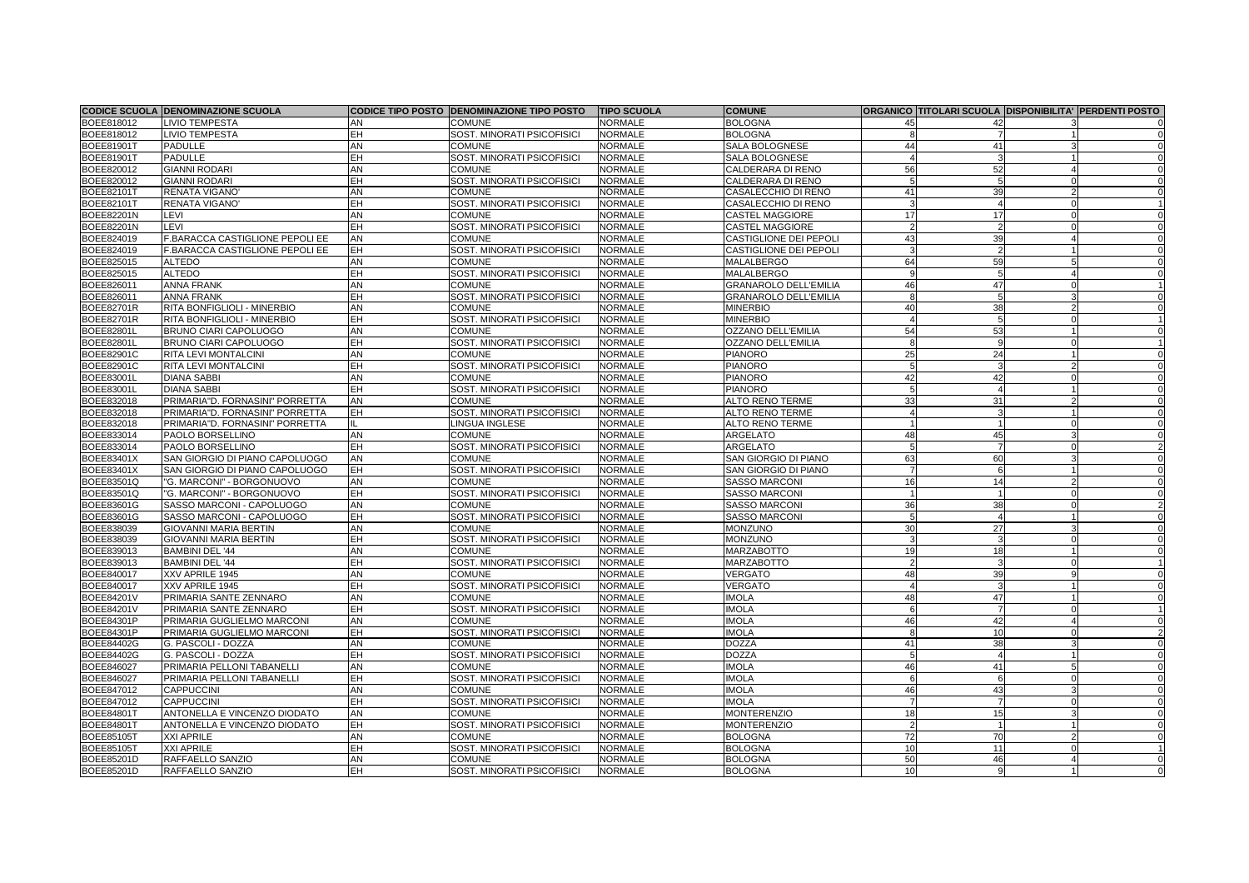|                   | <b>CODICE SCUOLA DENOMINAZIONE SCUOLA</b> |           | CODICE TIPO POSTO DENOMINAZIONE TIPO POSTO | <b>TIPO SCUOLA</b> | <b>COMUNE</b>                 |                |                 | ORGANICO TITOLARI SCUOLA DISPONIBILITA' PERDENTI POSTO |
|-------------------|-------------------------------------------|-----------|--------------------------------------------|--------------------|-------------------------------|----------------|-----------------|--------------------------------------------------------|
| BOEE818012        | <b>LIVIO TEMPESTA</b>                     | AN        | <b>COMUNE</b>                              | <b>NORMALE</b>     | <b>BOLOGNA</b>                |                |                 |                                                        |
| BOEE818012        | <b>LIVIO TEMPESTA</b>                     | EΗ        | <b>SOST. MINORATI PSICOFISICI</b>          | <b>NORMALE</b>     | <b>BOLOGNA</b>                |                |                 |                                                        |
| <b>BOEE81901T</b> | <b>PADULLE</b>                            | AN        | <b>COMUNE</b>                              | <b>NORMALE</b>     | SALA BOLOGNESE                | $\Delta\Delta$ |                 |                                                        |
| <b>BOEE81901T</b> | <b>PADULLE</b>                            | EH        | <b>SOST. MINORATI PSICOFISIC</b>           | <b>NORMALE</b>     | SALA BOLOGNESE                |                |                 |                                                        |
| BOEE820012        | <b>GIANNI RODARI</b>                      | AN        | <b>COMUNE</b>                              | <b>NORMALE</b>     | <b>CALDERARA DI RENO</b>      | 56             |                 |                                                        |
| BOEE820012        | <b>GIANNI RODARI</b>                      | EΗ        | SOST. MINORATI PSICOFISICI                 | <b>NORMALE</b>     | CALDERARA DI RENO             |                |                 |                                                        |
| <b>BOEE82101T</b> | RENATA VIGANO                             | AN        | <b>COMUNE</b>                              | <b>NORMALE</b>     | CASALECCHIO DI RENO           |                |                 |                                                        |
| <b>BOEE82101T</b> | <b>RENATA VIGANO</b>                      | EH        | <b>SOST. MINORATI PSICOFISICI</b>          | <b>NORMALE</b>     | CASALECCHIO DI RENO           |                |                 |                                                        |
| <b>BOEE82201N</b> | LEVI                                      | AN        | <b>COMUNE</b>                              | <b>NORMALE</b>     | <b>CASTEL MAGGIORE</b>        |                |                 |                                                        |
| <b>BOEE82201N</b> | <b>LEVI</b>                               | EH        | <b>SOST. MINORATI PSICOFISICI</b>          | <b>NORMALE</b>     | <b>CASTEL MAGGIORE</b>        |                |                 |                                                        |
| BOEE824019        | F.BARACCA CASTIGLIONE PEPOLI EE           | AN        | <b>COMUNE</b>                              | <b>NORMALE</b>     | <b>CASTIGLIONE DEI PEPOLI</b> |                | 39              |                                                        |
| BOEE824019        | F.BARACCA CASTIGLIONE PEPOLI EE           | <b>EH</b> | SOST. MINORATI PSICOFISICI                 | <b>NORMALE</b>     | <b>CASTIGLIONE DEI PEPOLI</b> |                |                 |                                                        |
| BOEE825015        | <b>ALTEDO</b>                             | AN        | <b>COMUNE</b>                              | <b>NORMALE</b>     | <b>MALALBERGO</b>             | 64             | 59              |                                                        |
| BOEE825015        | <b>ALTEDO</b>                             | EH        | SOST. MINORATI PSICOFISICI                 | <b>NORMALE</b>     | MALALBERGO                    |                |                 |                                                        |
| BOEE826011        | <b>ANNA FRANK</b>                         | AN        | <b>COMUNE</b>                              | <b>NORMALE</b>     | <b>GRANAROLO DELL'EMILIA</b>  |                |                 |                                                        |
| BOEE826011        | <b>ANNA FRANK</b>                         | EH        | SOST. MINORATI PSICOFISICI                 | <b>NORMALE</b>     | <b>GRANAROLO DELL'EMILIA</b>  |                |                 |                                                        |
| <b>BOEE82701R</b> | <b>RITA BONFIGLIOLI - MINERBIO</b>        | AN        | <b>COMUNE</b>                              | <b>NORMALE</b>     | <b>MINERBIO</b>               | 40             |                 |                                                        |
| <b>BOEE82701R</b> | <b>RITA BONFIGLIOLI - MINERBIO</b>        | EH        | <b>SOST. MINORATI PSICOFISICI</b>          | <b>NORMALE</b>     | <b>MINERBIO</b>               |                |                 |                                                        |
| <b>BOEE82801L</b> | <b>BRUNO CIARI CAPOLUOGO</b>              | AN        | <b>COMUNE</b>                              | <b>NORMALE</b>     | <b>OZZANO DELL'EMILIA</b>     | 54             |                 |                                                        |
| <b>BOEE82801L</b> | <b>BRUNO CIARI CAPOLUOGO</b>              | ΞH        | <b>SOST. MINORATI PSICOFISICI</b>          | <b>NORMALE</b>     | <b>OZZANO DELL'EMILIA</b>     |                |                 |                                                        |
| <b>BOEE82901C</b> | <b>RITA LEVI MONTALCINI</b>               | AN        | <b>COMUNE</b>                              | <b>NORMALE</b>     | <b>PIANORO</b>                | 25             |                 |                                                        |
| <b>BOEE82901C</b> | <b>RITA LEVI MONTALCINI</b>               | EH        | <b>SOST. MINORATI PSICOFISICI</b>          | <b>NORMALE</b>     | <b>PIANORO</b>                |                |                 |                                                        |
| <b>BOEE83001L</b> | <b>DIANA SABBI</b>                        | AN        | <b>COMUNE</b>                              | <b>NORMALE</b>     | <b>PIANORO</b>                |                |                 |                                                        |
| <b>BOEE83001L</b> | <b>DIANA SABBI</b>                        | EΗ        | SOST. MINORATI PSICOFISICI                 | <b>NORMALE</b>     | <b>PIANORO</b>                |                |                 |                                                        |
| BOEE832018        | PRIMARIA"D. FORNASINI" PORRETTA           | AN        | <b>COMUNE</b>                              | <b>NORMALE</b>     | <b>ALTO RENO TERME</b>        | 33             | -31             |                                                        |
| BOEE832018        | PRIMARIA"D. FORNASINI" PORRETTA           | EH        | SOST. MINORATI PSICOFISICI                 | <b>NORMALE</b>     | <b>ALTO RENO TERME</b>        |                |                 |                                                        |
| BOEE832018        | PRIMARIA"D. FORNASINI" PORRETTA           |           | LINGUA INGLESE                             | <b>NORMALE</b>     | <b>ALTO RENO TERME</b>        |                |                 |                                                        |
| BOEE833014        | <b>PAOLO BORSELLINO</b>                   | AN        | <b>COMUNE</b>                              | <b>NORMALE</b>     | ARGELATO                      |                |                 |                                                        |
| BOEE833014        | PAOLO BORSELLINO                          | EH        | SOST. MINORATI PSICOFISICI                 | <b>NORMALE</b>     | ARGELATO                      |                |                 |                                                        |
| <b>BOEE83401X</b> | SAN GIORGIO DI PIANO CAPOLUOGO            | <b>AN</b> | <b>COMUNE</b>                              | <b>NORMALE</b>     | SAN GIORGIO DI PIANO          | 63             | 60              |                                                        |
| <b>BOEE83401X</b> | <b>SAN GIORGIO DI PIANO CAPOLUOGO</b>     | EH        | SOST. MINORATI PSICOFISICI                 | <b>NORMALE</b>     | SAN GIORGIO DI PIANO          |                |                 |                                                        |
| <b>BOEE83501Q</b> | "G. MARCONI" - BORGONUOVO                 | AN        | <b>COMUNE</b>                              | <b>NORMALE</b>     | <b>SASSO MARCONI</b>          | 16             |                 |                                                        |
| <b>BOEE83501Q</b> | "G. MARCONI" - BORGONUOVO                 | EH        | <b>SOST. MINORATI PSICOFISICI</b>          | <b>NORMALE</b>     | <b>SASSO MARCONI</b>          |                |                 |                                                        |
| <b>BOEE83601G</b> | SASSO MARCONI - CAPOLUOGO                 | AN        | <b>COMUNE</b>                              | <b>NORMALE</b>     | <b>SASSO MARCONI</b>          | 36             | 38 <sup>l</sup> |                                                        |
| <b>BOEE83601G</b> | <b>SASSO MARCONI - CAPOLUOGO</b>          | <b>EH</b> | SOST. MINORATI PSICOFISICI                 | <b>NORMALE</b>     | <b>SASSO MARCONI</b>          |                |                 |                                                        |
| BOEE838039        | <b>GIOVANNI MARIA BERTIN</b>              | AN        | <b>COMUNE</b>                              | <b>NORMALE</b>     | <b>MONZUNO</b>                | 30             | 27              |                                                        |
| BOEE838039        | <b>GIOVANNI MARIA BERTIN</b>              | <b>EH</b> | SOST. MINORATI PSICOFISICI                 | <b>NORMALE</b>     | <b>MONZUNO</b>                |                |                 |                                                        |
| BOEE839013        | <b>BAMBINI DEL '44</b>                    | AN        | <b>COMUNE</b>                              | <b>NORMALE</b>     | <b>MARZABOTTO</b>             | 19             | 18              |                                                        |
| BOEE839013        | <b>BAMBINI DEL '44</b>                    | EΗ        | SOST. MINORATI PSICOFISICI                 | <b>NORMALE</b>     | <b>MARZABOTTO</b>             |                |                 |                                                        |
| <b>BOEE840017</b> | XXV APRILE 1945                           | AN        | <b>COMUNE</b>                              | <b>NORMALE</b>     | <b>VERGATO</b>                | 48             | 39              |                                                        |
| BOEE840017        | XXV APRILE 1945                           | EH        | <b>SOST. MINORATI PSICOFISICI</b>          | <b>NORMALE</b>     | <b>VERGATO</b>                |                |                 |                                                        |
| <b>BOEE84201V</b> | PRIMARIA SANTE ZENNARO                    | AN        | <b>COMUNE</b>                              | <b>NORMALE</b>     | <b>IMOLA</b>                  | 48             |                 |                                                        |
| <b>BOEE84201V</b> | PRIMARIA SANTE ZENNARO                    | EH        | SOST. MINORATI PSICOFISICI                 | <b>NORMALE</b>     | <b>IMOLA</b>                  |                |                 |                                                        |
| <b>BOEE84301P</b> | PRIMARIA GUGLIELMO MARCONI                | AN        | <b>COMUNE</b>                              | <b>NORMALE</b>     | <b>IMOLA</b>                  | 46             |                 |                                                        |
| <b>BOEE84301P</b> | PRIMARIA GUGLIELMO MARCONI                | <b>EH</b> | <b>SOST. MINORATI PSICOFISICI</b>          | <b>NORMALE</b>     | <b>IMOLA</b>                  |                | 10              |                                                        |
| <b>BOEE84402G</b> | G. PASCOLI - DOZZA                        | AN        | <b>COMUNE</b>                              | <b>NORMALE</b>     | <b>DOZZA</b>                  | 41             | 38              |                                                        |
| <b>BOEE84402G</b> | G. PASCOLI - DOZZA                        | EΗ        | SOST. MINORATI PSICOFISICI                 | <b>NORMALE</b>     | <b>DOZZA</b>                  |                |                 |                                                        |
| <b>BOEE846027</b> | <b>PRIMARIA PELLONI TABANELLI</b>         | AN        | <b>COMUNE</b>                              | <b>NORMALE</b>     | <b>IMOLA</b>                  | 46             |                 |                                                        |
| <b>BOEE846027</b> | PRIMARIA PELLONI TABANELLI                | <b>EH</b> | <b>SOST. MINORATI PSICOFISICI</b>          | <b>NORMALE</b>     | <b>IMOLA</b>                  |                |                 |                                                        |
| BOEE847012        | <b>CAPPUCCINI</b>                         | AN        | <b>COMUNE</b>                              | <b>NORMALE</b>     | <b>IMOLA</b>                  | 46             |                 |                                                        |
| BOEE847012        | <b>CAPPUCCINI</b>                         | EH        | <b>SOST. MINORATI PSICOFISICI</b>          | <b>NORMALE</b>     | <b>IMOLA</b>                  |                |                 |                                                        |
| <b>BOEE84801T</b> | <b>ANTONELLA E VINCENZO DIODATO</b>       | <b>AN</b> | <b>COMUNE</b>                              | <b>NORMALE</b>     | <b>MONTERENZIO</b>            | 18             | 15              |                                                        |
| <b>BOEE84801T</b> | ANTONELLA E VINCENZO DIODATO              | EH.       | <b>SOST. MINORATI PSICOFISICI</b>          | NORMALE            | <b>MONTERENZIO</b>            |                |                 |                                                        |
| <b>BOEE85105T</b> | <b>XXI APRILE</b>                         | <b>AN</b> | <b>COMUNE</b>                              | <b>NORMALE</b>     | <b>BOLOGNA</b>                | 72             | 70              |                                                        |
| <b>BOEE85105T</b> | <b>XXI APRILE</b>                         | EH        | <b>SOST. MINORATI PSICOFISICI</b>          | <b>NORMALE</b>     | <b>BOLOGNA</b>                | 10             | 11              |                                                        |
| <b>BOEE85201D</b> | <b>RAFFAELLO SANZIO</b>                   | AN        | <b>COMUNE</b>                              | <b>NORMALE</b>     | <b>BOLOGNA</b>                | 50             | 46              |                                                        |
| <b>BOEE85201D</b> | RAFFAELLO SANZIO                          | EH.       | SOST. MINORATI PSICOFISICI                 | <b>NORMALE</b>     | <b>BOLOGNA</b>                | 10             | -Q              |                                                        |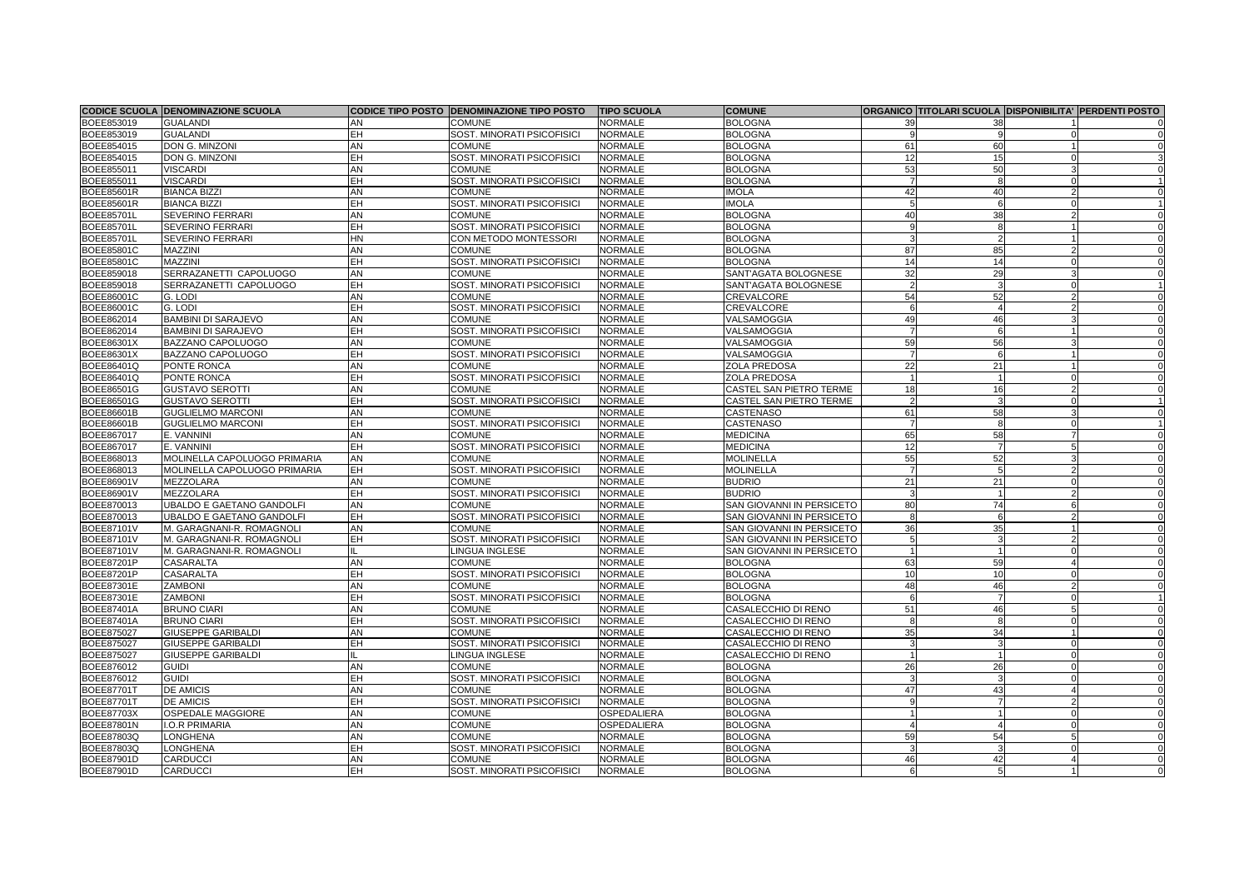|                   | <b>CODICE SCUOLA DENOMINAZIONE SCUOLA</b> |           | CODICE TIPO POSTO DENOMINAZIONE TIPO POSTO | <b>TIPO SCUOLA</b> | <b>COMUNE</b>             |                 |    | ORGANICO TITOLARI SCUOLA DISPONIBILITA' PERDENTI POSTO |
|-------------------|-------------------------------------------|-----------|--------------------------------------------|--------------------|---------------------------|-----------------|----|--------------------------------------------------------|
| BOEE853019        | <b>GUALANDI</b>                           | AN        | <b>COMUNE</b>                              | <b>NORMALE</b>     | <b>BOLOGNA</b>            |                 |    |                                                        |
| BOEE853019        | <b>GUALANDI</b>                           | EH        | SOST. MINORATI PSICOFISICI                 | <b>NORMALE</b>     | <b>BOLOGNA</b>            |                 |    |                                                        |
| <b>BOEE854015</b> | <b>DON G. MINZONI</b>                     | AN        | <b>COMUNE</b>                              | <b>NORMALE</b>     | <b>BOLOGNA</b>            | 61              | 60 |                                                        |
| <b>BOEE854015</b> | <b>DON G. MINZONI</b>                     | EH        | <b>SOST. MINORATI PSICOFISICI</b>          | <b>NORMALE</b>     | <b>BOLOGNA</b>            | 12              | 15 |                                                        |
| <b>BOEE855011</b> | <b>VISCARDI</b>                           | AN        | <b>COMUNE</b>                              | <b>NORMALE</b>     | <b>BOLOGNA</b>            | 53              | 50 |                                                        |
| BOEE855011        | <b>VISCARDI</b>                           | EH        | <b>SOST. MINORATI PSICOFISICI</b>          | <b>NORMALE</b>     | <b>BOLOGNA</b>            |                 |    |                                                        |
| <b>BOEE85601R</b> | <b>BIANCA BIZZI</b>                       | AN        | <b>COMUNE</b>                              | <b>NORMALE</b>     | <b>IMOLA</b>              | 42              |    |                                                        |
| <b>BOEE85601R</b> | <b>BIANCA BIZZI</b>                       | EH        | <b>SOST. MINORATI PSICOFISICI</b>          | <b>NORMALE</b>     | <b>IMOLA</b>              |                 |    |                                                        |
| <b>BOEE85701L</b> | <b>SEVERINO FERRARI</b>                   | AN        | <b>COMUNE</b>                              | <b>NORMALE</b>     | <b>BOLOGNA</b>            | 40              | 38 |                                                        |
| <b>BOEE85701L</b> | <b>SEVERINO FERRARI</b>                   | EH        | <b>SOST. MINORATI PSICOFISICI</b>          | <b>NORMALE</b>     | <b>BOLOGNA</b>            |                 |    |                                                        |
| <b>BOEE85701L</b> | <b>SEVERINO FERRARI</b>                   | HN        | CON METODO MONTESSORI                      | <b>NORMALE</b>     | <b>BOLOGNA</b>            |                 |    |                                                        |
| <b>BOEE85801C</b> | <b>MAZZINI</b>                            | AN        | <b>COMUNE</b>                              | <b>NORMALE</b>     | <b>BOLOGNA</b>            | 87              | 85 |                                                        |
| <b>BOEE85801C</b> | <b>MAZZINI</b>                            | EH        | <b>SOST. MINORATI PSICOFISICI</b>          | <b>NORMALE</b>     | <b>BOLOGNA</b>            | 14              |    |                                                        |
| BOEE859018        | SERRAZANETTI CAPOLUOGO                    | AN        | <b>COMUNE</b>                              | <b>NORMALE</b>     | SANT'AGATA BOLOGNESE      | 32              |    |                                                        |
| BOEE859018        | SERRAZANETTI CAPOLUOGO                    | EH        | <b>SOST. MINORATI PSICOFISICI</b>          | <b>NORMALE</b>     | SANT'AGATA BOLOGNESE      |                 |    |                                                        |
| BOEE86001C        | G. LODI                                   | AN        | <b>COMUNE</b>                              | <b>NORMALE</b>     | CREVALCORE                | 54              |    |                                                        |
| BOEE86001C        | G. LODI                                   | EΗ        | SOST. MINORATI PSICOFISICI                 | <b>NORMALE</b>     | CREVALCORE                |                 |    |                                                        |
| <b>BOEE862014</b> | <b>BAMBINI DI SARAJEVO</b>                | AN        | <b>COMUNE</b>                              | <b>NORMALE</b>     | VALSAMOGGIA               | 49              |    |                                                        |
| BOEE862014        | <b>BAMBINI DI SARAJEVO</b>                | EΗ        | <b>SOST. MINORATI PSICOFISICI</b>          | <b>NORMALE</b>     | VALSAMOGGIA               |                 |    |                                                        |
| <b>BOEE86301X</b> | <b>BAZZANO CAPOLUOGO</b>                  | AN        | <b>COMUNE</b>                              | <b>NORMALE</b>     | VALSAMOGGIA               | 59              |    |                                                        |
| <b>BOEE86301X</b> | <b>BAZZANO CAPOLUOGO</b>                  | EΗ        | <b>SOST. MINORATI PSICOFISICI</b>          | <b>NORMALE</b>     | VALSAMOGGIA               |                 |    |                                                        |
| <b>BOEE86401Q</b> | <b>PONTE RONCA</b>                        | AN        | <b>COMUNE</b>                              | <b>NORMALE</b>     | ZOLA PREDOSA              | 22              | 21 |                                                        |
| <b>BOEE86401Q</b> | PONTE RONCA                               | EH        | <b>SOST. MINORATI PSICOFISICI</b>          | <b>NORMALE</b>     | <b>ZOLA PREDOSA</b>       |                 |    |                                                        |
| <b>BOEE86501G</b> | <b>GUSTAVO SEROTTI</b>                    | AN        | <b>COMUNE</b>                              | <b>NORMALE</b>     | CASTEL SAN PIETRO TERME   | 18              |    |                                                        |
| <b>BOEE86501G</b> | <b>GUSTAVO SEROTTI</b>                    | EH        | <b>SOST. MINORATI PSICOFISICI</b>          | <b>NORMALE</b>     | CASTEL SAN PIETRO TERME   |                 |    |                                                        |
| <b>BOEE86601B</b> | <b>GUGLIELMO MARCONI</b>                  | AN        | <b>COMUNE</b>                              | <b>NORMALE</b>     | <b>CASTENASO</b>          | 61              | 58 |                                                        |
| <b>BOEE86601B</b> | <b>GUGLIELMO MARCONI</b>                  | EH        | <b>SOST. MINORATI PSICOFISICI</b>          | <b>NORMALE</b>     | <b>CASTENASO</b>          |                 |    |                                                        |
| <b>BOEE867017</b> | E. VANNINI                                | AN        | <b>COMUNE</b>                              | <b>NORMALE</b>     | <b>MEDICINA</b>           | 65              | 58 |                                                        |
| BOEE867017        | E. VANNINI                                | EH        | <b>SOST. MINORATI PSICOFISICI</b>          | <b>NORMALE</b>     | <b>MEDICINA</b>           | 12              |    |                                                        |
| BOEE868013        | MOLINELLA CAPOLUOGO PRIMARIA              | <b>AN</b> | <b>COMUNE</b>                              | <b>NORMALE</b>     | <b>MOLINELLA</b>          | 55              |    |                                                        |
| BOEE868013        | MOLINELLA CAPOLUOGO PRIMARIA              | EH        | <b>SOST. MINORATI PSICOFISICI</b>          | <b>NORMALE</b>     | <b>MOLINELLA</b>          |                 |    |                                                        |
| <b>BOEE86901V</b> | <b>MEZZOLARA</b>                          | AN        | <b>COMUNE</b>                              | <b>NORMALE</b>     | <b>BUDRIO</b>             | 21              |    |                                                        |
| <b>BOEE86901V</b> | <b>MEZZOLARA</b>                          | EΗ        | SOST. MINORATI PSICOFISICI                 | <b>NORMALE</b>     | <b>BUDRIO</b>             |                 |    |                                                        |
| BOEE870013        | UBALDO E GAETANO GANDOLFI                 | AN        | <b>COMUNE</b>                              | <b>NORMALE</b>     | SAN GIOVANNI IN PERSICETO | 80              | 74 |                                                        |
| BOEE870013        | UBALDO E GAETANO GANDOLFI                 | EH        | SOST. MINORATI PSICOFISICI                 | <b>NORMALE</b>     | SAN GIOVANNI IN PERSICETO | -81             |    |                                                        |
| <b>BOEE87101V</b> | M. GARAGNANI-R. ROMAGNOLI                 | AN        | <b>COMUNE</b>                              | <b>NORMALE</b>     | SAN GIOVANNI IN PERSICETO | 36              | 35 |                                                        |
| <b>BOEE87101V</b> | M. GARAGNANI-R. ROMAGNOLI                 | <b>EH</b> | <b>SOST. MINORATI PSICOFISICI</b>          | <b>NORMALE</b>     | SAN GIOVANNI IN PERSICETO |                 |    |                                                        |
| <b>BOEE87101V</b> | M. GARAGNANI-R. ROMAGNOLI                 |           | LINGUA INGLESE                             | <b>NORMALE</b>     | SAN GIOVANNI IN PERSICETO |                 |    |                                                        |
| <b>BOEE87201P</b> | <b>CASARALTA</b>                          | <b>AN</b> | <b>COMUNE</b>                              | <b>NORMALE</b>     | <b>BOLOGNA</b>            | 63              | 59 |                                                        |
| <b>BOEE87201P</b> | <b>CASARALTA</b>                          | EH        | SOST. MINORATI PSICOFISICI                 | <b>NORMALE</b>     | <b>BOLOGNA</b>            | 10 <sup>1</sup> | 10 |                                                        |
| <b>BOEE87301E</b> | <b>ZAMBONI</b>                            | AN        | <b>COMUNE</b>                              | <b>NORMALE</b>     | <b>BOLOGNA</b>            | 48              | 46 |                                                        |
| <b>BOEE87301E</b> | <b>ZAMBONI</b>                            | EH        | <b>SOST. MINORATI PSICOFISICI</b>          | <b>NORMALE</b>     | <b>BOLOGNA</b>            |                 |    |                                                        |
| <b>BOEE87401A</b> | <b>BRUNO CIARI</b>                        | AN        | <b>COMUNE</b>                              | <b>NORMALE</b>     | CASALECCHIO DI RENO       | 51              |    |                                                        |
| <b>BOEE87401A</b> | <b>BRUNO CIARI</b>                        | EH        | <b>SOST. MINORATI PSICOFISICI</b>          | <b>NORMALE</b>     | CASALECCHIO DI RENO       |                 |    |                                                        |
| <b>BOEE875027</b> | <b>GIUSEPPE GARIBALDI</b>                 | AN        | <b>COMUNE</b>                              | <b>NORMALE</b>     | CASALECCHIO DI RENO       | 35              | 34 |                                                        |
| <b>BOEE875027</b> | <b>GIUSEPPE GARIBALDI</b>                 | EH        | <b>SOST. MINORATI PSICOFISICI</b>          | NORMALE            | CASALECCHIO DI RENO       |                 |    |                                                        |
| <b>BOEE875027</b> | <b>GIUSEPPE GARIBALDI</b>                 |           | LINGUA INGLESE                             | <b>NORMALE</b>     | CASALECCHIO DI RENO       |                 |    |                                                        |
| <b>BOEE876012</b> | <b>GUIDI</b>                              | AN        | <b>COMUNE</b>                              | <b>NORMALE</b>     | <b>BOLOGNA</b>            | 26              | 26 |                                                        |
| BOEE876012        | <b>GUIDI</b>                              | EH        | <b>SOST. MINORATI PSICOFISICI</b>          | <b>NORMALE</b>     | <b>BOLOGNA</b>            |                 |    |                                                        |
| <b>BOEE87701T</b> | <b>DE AMICIS</b>                          | AN        | <b>COMUNE</b>                              | <b>NORMALE</b>     | <b>BOLOGNA</b>            | 47              |    |                                                        |
| <b>BOEE87701T</b> | <b>DE AMICIS</b>                          | EΗ        | SOST. MINORATI PSICOFISICI                 | <b>NORMALE</b>     | <b>BOLOGNA</b>            |                 |    |                                                        |
| <b>BOEE87703X</b> | <b>OSPEDALE MAGGIORE</b>                  | AN        | <b>COMUNE</b>                              | OSPEDALIERA        | <b>BOLOGNA</b>            |                 |    |                                                        |
| <b>BOEE87801N</b> | <b>I.O.R PRIMARIA</b>                     | AN        | <b>COMUNE</b>                              | OSPEDALIERA        | <b>BOLOGNA</b>            |                 |    |                                                        |
| <b>BOEE87803Q</b> | <b>LONGHENA</b>                           | AN        | <b>COMUNE</b>                              | <b>NORMALE</b>     | <b>BOLOGNA</b>            | 59              |    |                                                        |
| <b>BOEE87803Q</b> | <b>LONGHENA</b>                           | EH        | SOST. MINORATI PSICOFISICI                 | <b>NORMALE</b>     | <b>BOLOGNA</b>            |                 |    |                                                        |
| <b>BOEE87901D</b> | <b>CARDUCCI</b>                           | AN        | <b>COMUNE</b>                              | <b>NORMALE</b>     | <b>BOLOGNA</b>            | 46              |    |                                                        |
| <b>BOEE87901D</b> | <b>CARDUCCI</b>                           | EH.       | SOST. MINORATI PSICOFISICI                 | <b>NORMALE</b>     | <b>BOLOGNA</b>            |                 |    |                                                        |